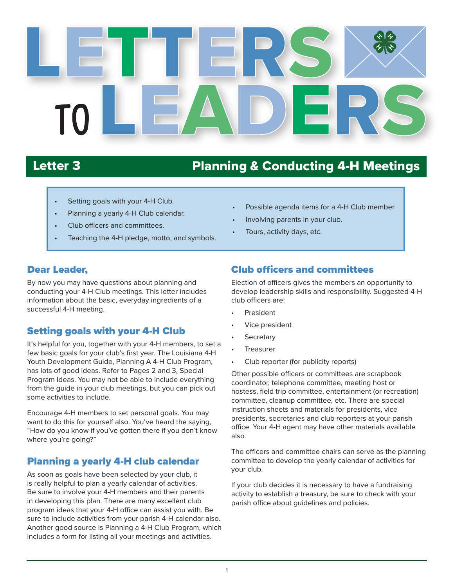

# Letter 3 Planning & Conducting 4-H Meetings

- Setting goals with your 4-H Club.
- Planning a yearly 4-H Club calendar.
- Club officers and committees.
- Teaching the 4-H pledge, motto, and symbols.
- Possible agenda items for a 4-H Club member.
- Involving parents in your club.
- Tours, activity days, etc.

#### Dear Leader,

By now you may have questions about planning and conducting your 4-H Club meetings. This letter includes information about the basic, everyday ingredients of a successful 4-H meeting.

#### Setting goals with your 4-H Club

It's helpful for you, together with your 4-H members, to set a few basic goals for your club's first year. The Louisiana 4-H Youth Development Guide, Planning A 4-H Club Program, has lots of good ideas. Refer to Pages 2 and 3, Special Program Ideas. You may not be able to include everything from the guide in your club meetings, but you can pick out some activities to include.

Encourage 4-H members to set personal goals. You may want to do this for yourself also. You've heard the saying, "How do you know if you've gotten there if you don't know where you're going?"

### Planning a yearly 4-H club calendar

As soon as goals have been selected by your club, it is really helpful to plan a yearly calendar of activities. Be sure to involve your 4-H members and their parents in developing this plan. There are many excellent club program ideas that your 4-H office can assist you with. Be sure to include activities from your parish 4-H calendar also. Another good source is Planning a 4-H Club Program, which includes a form for listing all your meetings and activities.

#### Club officers and committees

Election of officers gives the members an opportunity to develop leadership skills and responsibility. Suggested 4-H club officers are:

- **President**
- Vice president
- **Secretary**
- **Treasurer**
- Club reporter (for publicity reports)

Other possible officers or committees are scrapbook coordinator, telephone committee, meeting host or hostess, field trip committee, entertainment (or recreation) committee, cleanup committee, etc. There are special instruction sheets and materials for presidents, vice presidents, secretaries and club reporters at your parish office. Your 4-H agent may have other materials available also.

The officers and committee chairs can serve as the planning committee to develop the yearly calendar of activities for your club.

If your club decides it is necessary to have a fundraising activity to establish a treasury, be sure to check with your parish office about guidelines and policies.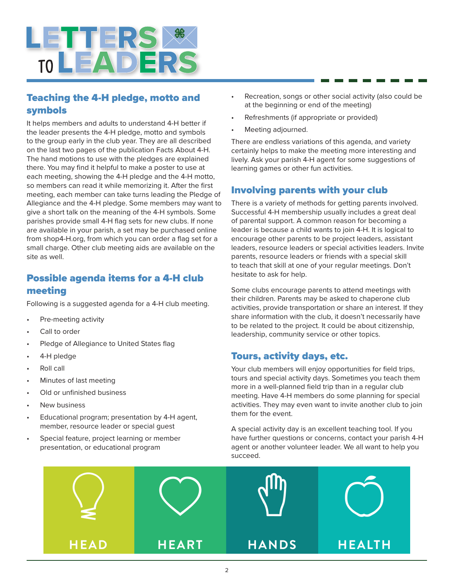

#### Teaching the 4-H pledge, motto and symbols

It helps members and adults to understand 4-H better if the leader presents the 4-H pledge, motto and symbols to the group early in the club year. They are all described on the last two pages of the publication Facts About 4-H. The hand motions to use with the pledges are explained there. You may find it helpful to make a poster to use at each meeting, showing the 4-H pledge and the 4-H motto, so members can read it while memorizing it. After the first meeting, each member can take turns leading the Pledge of Allegiance and the 4-H pledge. Some members may want to give a short talk on the meaning of the 4-H symbols. Some parishes provide small 4-H flag sets for new clubs. If none are available in your parish, a set may be purchased online from shop4-H.org, from which you can order a flag set for a small charge. Other club meeting aids are available on the site as well.

#### Possible agenda items for a 4-H club meeting

Following is a suggested agenda for a 4-H club meeting.

- Pre-meeting activity
- Call to order
- Pledge of Allegiance to United States flag
- 4-H pledge
- Roll call
- Minutes of last meeting
- Old or unfinished business
- **New business**
- Educational program; presentation by 4-H agent, member, resource leader or special guest
- Special feature, project learning or member presentation, or educational program
- Recreation, songs or other social activity (also could be at the beginning or end of the meeting)
- Refreshments (if appropriate or provided)
- Meeting adjourned.

There are endless variations of this agenda, and variety certainly helps to make the meeting more interesting and lively. Ask your parish 4-H agent for some suggestions of learning games or other fun activities.

#### Involving parents with your club

There is a variety of methods for getting parents involved. Successful 4-H membership usually includes a great deal of parental support. A common reason for becoming a leader is because a child wants to join 4-H. It is logical to encourage other parents to be project leaders, assistant leaders, resource leaders or special activities leaders. Invite parents, resource leaders or friends with a special skill to teach that skill at one of your regular meetings. Don't hesitate to ask for help.

Some clubs encourage parents to attend meetings with their children. Parents may be asked to chaperone club activities, provide transportation or share an interest. If they share information with the club, it doesn't necessarily have to be related to the project. It could be about citizenship, leadership, community service or other topics.

#### Tours, activity days, etc.

Your club members will enjoy opportunities for field trips, tours and special activity days. Sometimes you teach them more in a well-planned field trip than in a regular club meeting. Have 4-H members do some planning for special activities. They may even want to invite another club to join them for the event.

A special activity day is an excellent teaching tool. If you have further questions or concerns, contact your parish 4-H agent or another volunteer leader. We all want to help you succeed.